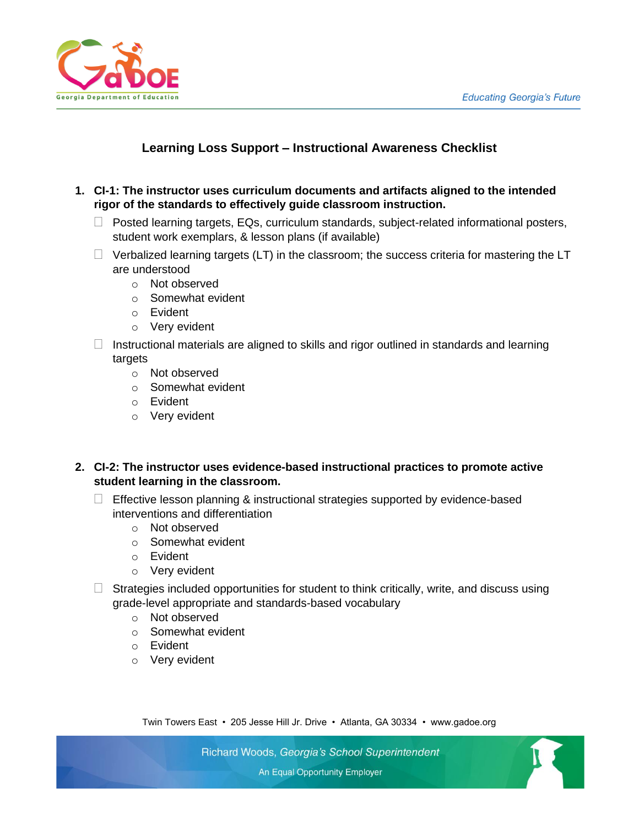

## **Learning Loss Support – Instructional Awareness Checklist**

- **1. CI-1: The instructor uses curriculum documents and artifacts aligned to the intended rigor of the standards to effectively guide classroom instruction.** 
	- $\Box$  Posted learning targets, EQs, curriculum standards, subject-related informational posters, student work exemplars, & lesson plans (if available)
	- $\Box$  Verbalized learning targets (LT) in the classroom; the success criteria for mastering the LT are understood
		- o Not observed
		- o Somewhat evident
		- o Evident
		- o Very evident
	- $\Box$  Instructional materials are aligned to skills and rigor outlined in standards and learning targets
		- o Not observed
		- o Somewhat evident
		- o Evident
		- o Very evident
- **2. CI-2: The instructor uses evidence-based instructional practices to promote active student learning in the classroom.**
	- $\Box$  Effective lesson planning & instructional strategies supported by evidence-based interventions and differentiation
		- o Not observed
		- o Somewhat evident
		- o Evident
		- o Very evident
	- $\Box$  Strategies included opportunities for student to think critically, write, and discuss using grade-level appropriate and standards-based vocabulary
		- o Not observed
		- o Somewhat evident
		- o Evident
		- o Very evident

Twin Towers East • 205 Jesse Hill Jr. Drive • Atlanta, GA 30334 • www.gadoe.org

Richard Woods, Georgia's School Superintendent

An Equal Opportunity Employer